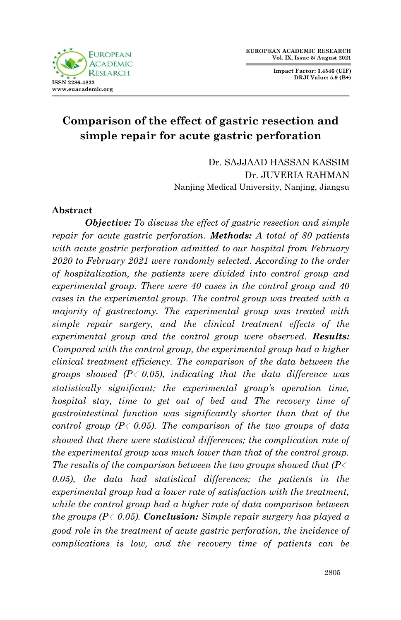**Impact Factor: 3.4546 (UIF) DRJI Value: 5.9 (B+)**



# **Comparison of the effect of gastric resection and simple repair for acute gastric perforation**

Dr. SAJJAAD HASSAN KASSIM Dr. JUVERIA RAHMAN Nanjing Medical University, Nanjing, Jiangsu

# **Abstract**

*Objective: To discuss the effect of gastric resection and simple repair for acute gastric perforation. Methods: A total of 80 patients with acute gastric perforation admitted to our hospital from February 2020 to February 2021 were randomly selected. According to the order of hospitalization, the patients were divided into control group and experimental group. There were 40 cases in the control group and 40 cases in the experimental group. The control group was treated with a majority of gastrectomy. The experimental group was treated with simple repair surgery, and the clinical treatment effects of the experimental group and the control group were observed. Results: Compared with the control group, the experimental group had a higher clinical treatment efficiency. The comparison of the data between the groups showed (P*﹤*0.05), indicating that the data difference was statistically significant; the experimental group's operation time, hospital stay, time to get out of bed and The recovery time of gastrointestinal function was significantly shorter than that of the control group (P*﹤*0.05). The comparison of the two groups of data showed that there were statistical differences; the complication rate of the experimental group was much lower than that of the control group. The results of the comparison between the two groups showed that (P*﹤ *0.05), the data had statistical differences; the patients in the experimental group had a lower rate of satisfaction with the treatment, while the control group had a higher rate of data comparison between the groups (P*﹤*0.05). Conclusion: Simple repair surgery has played a good role in the treatment of acute gastric perforation, the incidence of complications is low, and the recovery time of patients can be*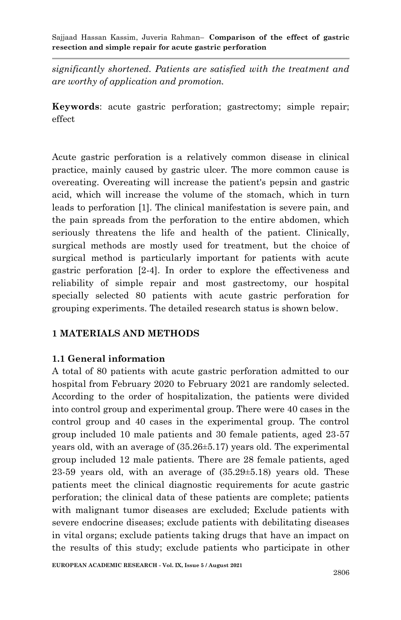*significantly shortened. Patients are satisfied with the treatment and are worthy of application and promotion.*

**Keywords**: acute gastric perforation; gastrectomy; simple repair; effect

Acute gastric perforation is a relatively common disease in clinical practice, mainly caused by gastric ulcer. The more common cause is overeating. Overeating will increase the patient's pepsin and gastric acid, which will increase the volume of the stomach, which in turn leads to perforation [1]. The clinical manifestation is severe pain, and the pain spreads from the perforation to the entire abdomen, which seriously threatens the life and health of the patient. Clinically, surgical methods are mostly used for treatment, but the choice of surgical method is particularly important for patients with acute gastric perforation [2-4]. In order to explore the effectiveness and reliability of simple repair and most gastrectomy, our hospital specially selected 80 patients with acute gastric perforation for grouping experiments. The detailed research status is shown below.

### **1 MATERIALS AND METHODS**

### **1.1 General information**

A total of 80 patients with acute gastric perforation admitted to our hospital from February 2020 to February 2021 are randomly selected. According to the order of hospitalization, the patients were divided into control group and experimental group. There were 40 cases in the control group and 40 cases in the experimental group. The control group included 10 male patients and 30 female patients, aged 23-57 years old, with an average of (35.26±5.17) years old. The experimental group included 12 male patients. There are 28 female patients, aged  $23-59$  years old, with an average of  $(35.29\pm5.18)$  years old. These patients meet the clinical diagnostic requirements for acute gastric perforation; the clinical data of these patients are complete; patients with malignant tumor diseases are excluded; Exclude patients with severe endocrine diseases; exclude patients with debilitating diseases in vital organs; exclude patients taking drugs that have an impact on the results of this study; exclude patients who participate in other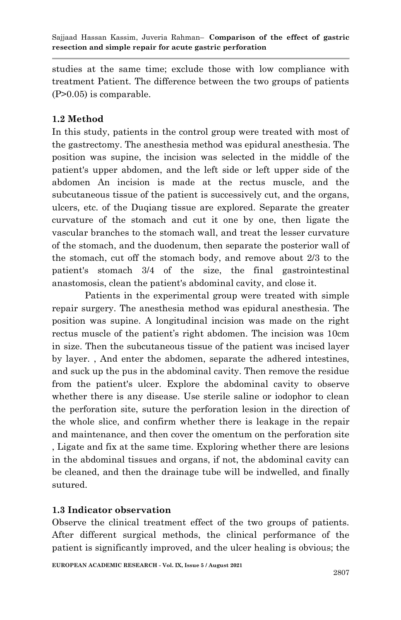studies at the same time; exclude those with low compliance with treatment Patient. The difference between the two groups of patients (P>0.05) is comparable.

# **1.2 Method**

In this study, patients in the control group were treated with most of the gastrectomy. The anesthesia method was epidural anesthesia. The position was supine, the incision was selected in the middle of the patient's upper abdomen, and the left side or left upper side of the abdomen An incision is made at the rectus muscle, and the subcutaneous tissue of the patient is successively cut, and the organs, ulcers, etc. of the Duqiang tissue are explored. Separate the greater curvature of the stomach and cut it one by one, then ligate the vascular branches to the stomach wall, and treat the lesser curvature of the stomach, and the duodenum, then separate the posterior wall of the stomach, cut off the stomach body, and remove about 2/3 to the patient's stomach 3/4 of the size, the final gastrointestinal anastomosis, clean the patient's abdominal cavity, and close it.

Patients in the experimental group were treated with simple repair surgery. The anesthesia method was epidural anesthesia. The position was supine. A longitudinal incision was made on the right rectus muscle of the patient's right abdomen. The incision was 10cm in size. Then the subcutaneous tissue of the patient was incised layer by layer. , And enter the abdomen, separate the adhered intestines, and suck up the pus in the abdominal cavity. Then remove the residue from the patient's ulcer. Explore the abdominal cavity to observe whether there is any disease. Use sterile saline or iodophor to clean the perforation site, suture the perforation lesion in the direction of the whole slice, and confirm whether there is leakage in the repair and maintenance, and then cover the omentum on the perforation site , Ligate and fix at the same time. Exploring whether there are lesions in the abdominal tissues and organs, if not, the abdominal cavity can be cleaned, and then the drainage tube will be indwelled, and finally sutured.

# **1.3 Indicator observation**

Observe the clinical treatment effect of the two groups of patients. After different surgical methods, the clinical performance of the patient is significantly improved, and the ulcer healing is obvious; the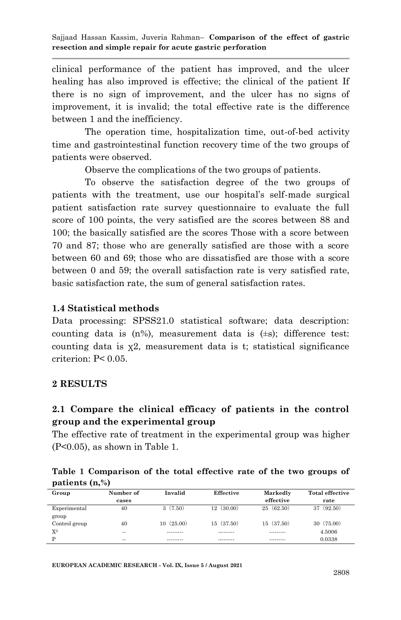clinical performance of the patient has improved, and the ulcer healing has also improved is effective; the clinical of the patient If there is no sign of improvement, and the ulcer has no signs of improvement, it is invalid; the total effective rate is the difference between 1 and the inefficiency.

The operation time, hospitalization time, out-of-bed activity time and gastrointestinal function recovery time of the two groups of patients were observed.

Observe the complications of the two groups of patients.

To observe the satisfaction degree of the two groups of patients with the treatment, use our hospital's self-made surgical patient satisfaction rate survey questionnaire to evaluate the full score of 100 points, the very satisfied are the scores between 88 and 100; the basically satisfied are the scores Those with a score between 70 and 87; those who are generally satisfied are those with a score between 60 and 69; those who are dissatisfied are those with a score between 0 and 59; the overall satisfaction rate is very satisfied rate, basic satisfaction rate, the sum of general satisfaction rates.

# **1.4 Statistical methods**

Data processing: SPSS21.0 statistical software; data description: counting data is  $(n\%)$ , measurement data is  $(\pm s)$ ; difference test: counting data is  $\chi^2$ , measurement data is t; statistical significance criterion: P< 0.05.

### **2 RESULTS**

# **2.1 Compare the clinical efficacy of patients in the control group and the experimental group**

The effective rate of treatment in the experimental group was higher (P<0.05), as shown in Table 1.

|                  | Table 1 Comparison of the total effective rate of the two groups of |  |  |  |  |  |
|------------------|---------------------------------------------------------------------|--|--|--|--|--|
| patients $(n, %$ |                                                                     |  |  |  |  |  |

| Group         | Number of | Invalid   | Effective     | Markedly      | <b>Total effective</b> |
|---------------|-----------|-----------|---------------|---------------|------------------------|
|               | cases     |           |               | effective     | rate                   |
| Experimental  | 40        | 3(7.50)   | 12<br>(30.00) | (62.50)<br>25 | (92.50)<br>37          |
| group         |           |           |               |               |                        |
| Control group | 40        | 10(25.00) | 15(37.50)     | 15 (37.50)    | 30(75.00)              |
| $X^2$         | $- -$     | --------- | ---------     | ---------     | 4.5006                 |
| D             | $-1$      | --------- | ---------     | ---------     | 0.0338                 |

**EUROPEAN ACADEMIC RESEARCH - Vol. IX, Issue 5 / August 2021**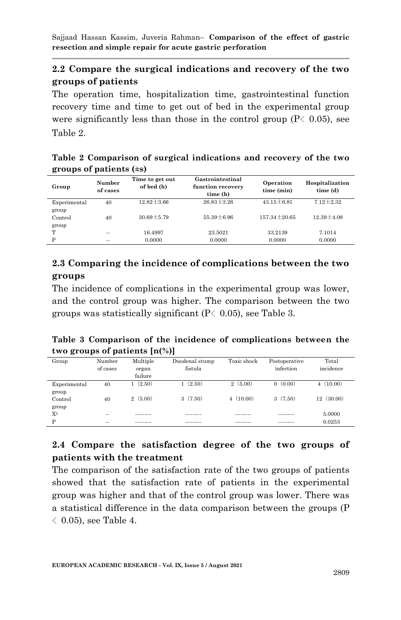# **2.2 Compare the surgical indications and recovery of the two groups of patients**

The operation time, hospitalization time, gastrointestinal function recovery time and time to get out of bed in the experimental group were significantly less than those in the control group  $(P\langle 0.05 \rangle)$ , see Table 2.

| $\epsilon$ called $\epsilon$ is $\epsilon$ |                    |                               |                                                   |                         |                             |  |  |  |
|--------------------------------------------|--------------------|-------------------------------|---------------------------------------------------|-------------------------|-----------------------------|--|--|--|
| Group                                      | Number<br>of cases | Time to get out<br>of bed (h) | Gastrointestinal<br>function recovery<br>time (h) | Operation<br>time (min) | Hospitalization<br>time (d) |  |  |  |
| Experimental                               | 40                 | $12.82 \pm 3.66$              | $26.83 \pm 3.26$                                  | $43.15 \pm 6.81$        | $7.12 \pm 2.32$             |  |  |  |
| group<br>Control<br>group                  | 40                 | $30.69 \pm 5.79$              | $55.39 \pm 6.96$                                  | 157.34 + 20.65          | $12.39 \pm 4.08$            |  |  |  |
| т                                          | $-1$               | 16.4997                       | 23.5021                                           | 33.2139                 | 7.1014                      |  |  |  |
| p                                          | $-1$               | 0.0000                        | 0.0000                                            | 0.0000                  | 0.0000                      |  |  |  |

### **Table 2 Comparison of surgical indications and recovery of the two groups of patients (±s)**

# **2.3 Comparing the incidence of complications between the two groups**

The incidence of complications in the experimental group was lower, and the control group was higher. The comparison between the two groups was statistically significant ( $P \langle 0.05 \rangle$ , see Table 3.

# **Table 3 Comparison of the incidence of complications between the two groups of patients [n(%)]**

| Group            | Number        | Multiple  | Duodenal stump | Toxic shock | Postoperative      | Total     |
|------------------|---------------|-----------|----------------|-------------|--------------------|-----------|
|                  | of cases      | organ     | fistula        |             | infection          | incidence |
|                  |               | failure   |                |             |                    |           |
| Experimental     | 40            | 1(2.50)   | 1(2.50)        | 2(5.00)     | (0.00)<br>$\Omega$ | 4(10.00)  |
| group<br>Control | 40            | 2(5.00)   | 3(7.50)        | 4(10.00)    | 3(7.50)            | 12(30.00) |
| group            |               |           |                |             |                    |           |
| $X^2$            | $\sim$ $\sim$ | --------- | ---------      |             | .                  | 5.0000    |
| D                | $-1$          | --------- | ---------      | ---------   | ---------          | 0.0253    |

# **2.4 Compare the satisfaction degree of the two groups of patients with the treatment**

The comparison of the satisfaction rate of the two groups of patients showed that the satisfaction rate of patients in the experimental group was higher and that of the control group was lower. There was a statistical difference in the data comparison between the groups (P  $\langle$  0.05), see Table 4.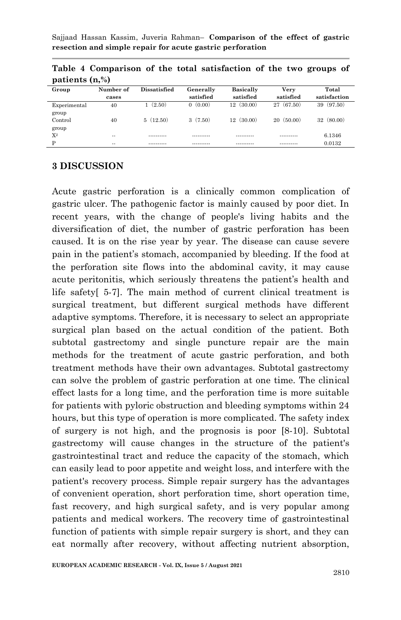| Group                 | Number of     | <b>Dissatisfied</b> | Generally  | <b>Basically</b> | Verv       | Total        |
|-----------------------|---------------|---------------------|------------|------------------|------------|--------------|
|                       | cases         |                     | satisfied  | satisfied        | satisfied  | satisfaction |
| Experimental<br>group | 40            | (2.50)              | 0(0.00)    | (30.00)<br>12    | 27 (67.50) | 39 (97.50)   |
| Control<br>group      | 40            | 5(12.50)            | 3(7.50)    | 12(30.00)        | 20(50.00)  | 32(80,00)    |
| $X^2$                 | $\sim$        |                     | ---------- | ----------       | ---------- | 6.1346       |
| D                     | $\sim$ $\sim$ | ----------          | ---------- | ----------       | ---------- | 0.0132       |

**Table 4 Comparison of the total satisfaction of the two groups of patients (n,%)**

#### **3 DISCUSSION**

Acute gastric perforation is a clinically common complication of gastric ulcer. The pathogenic factor is mainly caused by poor diet. In recent years, with the change of people's living habits and the diversification of diet, the number of gastric perforation has been caused. It is on the rise year by year. The disease can cause severe pain in the patient's stomach, accompanied by bleeding. If the food at the perforation site flows into the abdominal cavity, it may cause acute peritonitis, which seriously threatens the patient's health and life safety[ 5-7]. The main method of current clinical treatment is surgical treatment, but different surgical methods have different adaptive symptoms. Therefore, it is necessary to select an appropriate surgical plan based on the actual condition of the patient. Both subtotal gastrectomy and single puncture repair are the main methods for the treatment of acute gastric perforation, and both treatment methods have their own advantages. Subtotal gastrectomy can solve the problem of gastric perforation at one time. The clinical effect lasts for a long time, and the perforation time is more suitable for patients with pyloric obstruction and bleeding symptoms within 24 hours, but this type of operation is more complicated. The safety index of surgery is not high, and the prognosis is poor [8-10]. Subtotal gastrectomy will cause changes in the structure of the patient's gastrointestinal tract and reduce the capacity of the stomach, which can easily lead to poor appetite and weight loss, and interfere with the patient's recovery process. Simple repair surgery has the advantages of convenient operation, short perforation time, short operation time, fast recovery, and high surgical safety, and is very popular among patients and medical workers. The recovery time of gastrointestinal function of patients with simple repair surgery is short, and they can eat normally after recovery, without affecting nutrient absorption,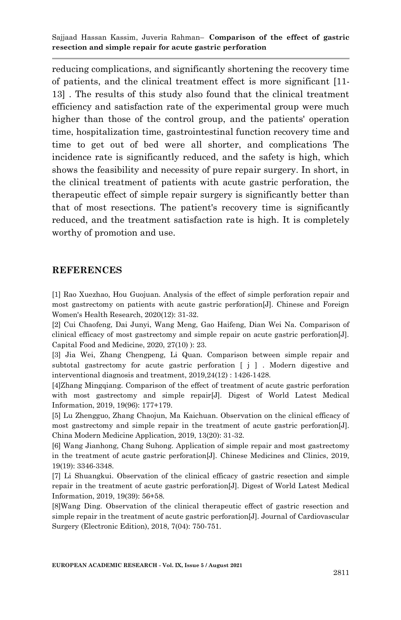reducing complications, and significantly shortening the recovery time of patients, and the clinical treatment effect is more significant [11- 13] . The results of this study also found that the clinical treatment efficiency and satisfaction rate of the experimental group were much higher than those of the control group, and the patients' operation time, hospitalization time, gastrointestinal function recovery time and time to get out of bed were all shorter, and complications The incidence rate is significantly reduced, and the safety is high, which shows the feasibility and necessity of pure repair surgery. In short, in the clinical treatment of patients with acute gastric perforation, the therapeutic effect of simple repair surgery is significantly better than that of most resections. The patient's recovery time is significantly reduced, and the treatment satisfaction rate is high. It is completely worthy of promotion and use.

#### **REFERENCES**

[1] Rao Xuezhao, Hou Guojuan. Analysis of the effect of simple perforation repair and most gastrectomy on patients with acute gastric perforation[J]. Chinese and Foreign Women's Health Research, 2020(12): 31-32.

[2] Cui Chaofeng, Dai Junyi, Wang Meng, Gao Haifeng, Dian Wei Na. Comparison of clinical efficacy of most gastrectomy and simple repair on acute gastric perforation[J]. Capital Food and Medicine, 2020, 27(10) ): 23.

[3] Jia Wei, Zhang Chengpeng, Li Quan. Comparison between simple repair and subtotal gastrectomy for acute gastric perforation [ j ] . Modern digestive and interventional diagnosis and treatment, 2019,24(12) : 1426-1428.

[4]Zhang Mingqiang. Comparison of the effect of treatment of acute gastric perforation with most gastrectomy and simple repair[J]. Digest of World Latest Medical Information, 2019, 19(96): 177+179.

[5] Lu Zhengguo, Zhang Chaojun, Ma Kaichuan. Observation on the clinical efficacy of most gastrectomy and simple repair in the treatment of acute gastric perforation[J]. China Modern Medicine Application, 2019, 13(20): 31-32.

[6] Wang Jianhong, Chang Suhong. Application of simple repair and most gastrectomy in the treatment of acute gastric perforation[J]. Chinese Medicines and Clinics, 2019, 19(19): 3346-3348.

[7] Li Shuangkui. Observation of the clinical efficacy of gastric resection and simple repair in the treatment of acute gastric perforation[J]. Digest of World Latest Medical Information, 2019, 19(39): 56+58.

[8]Wang Ding. Observation of the clinical therapeutic effect of gastric resection and simple repair in the treatment of acute gastric perforation[J]. Journal of Cardiovascular Surgery (Electronic Edition), 2018, 7(04): 750-751.